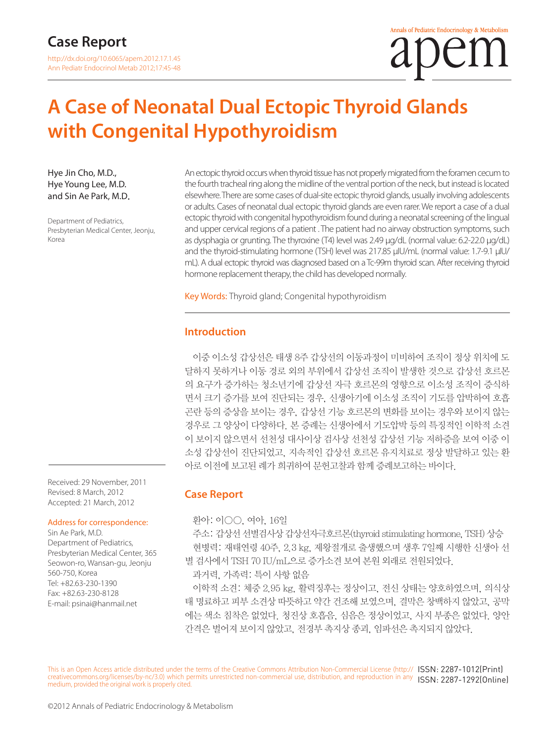# **A Case of Neonatal Dual Ectopic Thyroid Glands with Congenital Hypothyroidism**

Hye Jin Cho, M.D., Hye Young Lee, M.D. and Sin Ae Park, M.D.

Department of Pediatrics, Presbyterian Medical Center, Jeonju, Korea

An ectopic thyroid occurs when thyroid tissue has not properly migrated from the foramen cecum to the fourth tracheal ring along the midline of the ventral portion of the neck, but instead is located elsewhere. There are some cases of dual-site ectopic thyroid glands, usually involving adolescents or adults. Cases of neonatal dual ectopic thyroid glands are even rarer. We report a case of a dual ectopic thyroid with congenital hypothyroidism found during a neonatal screening of the lingual and upper cervical regions of a patient . The patient had no airway obstruction symptoms, such as dysphagia or grunting. The thyroxine (T4) level was 2.49 μg/dL (normal value: 6.2-22.0 μg/dL) and the thyroid-stimulating hormone (TSH) level was 217.85 μIU/mL (normal value: 1.7-9.1 μIU/ mL). A dual ectopic thyroid was diagnosed based on a Tc-99m thyroid scan. After receiving thyroid hormone replacement therapy, the child has developed normally.

Key Words: Thyroid gland; Congenital hypothyroidism

# **Introduction**

이중 이소성 갑상선은 태생 8주 갑상선의 이동과정이 미비하여 조직이 정상 위치에 도 달하지 못하거나 이동 경로 외의 부위에서 갑상선 조직이 발생한 것으로 갑상선 호르몬 의 요구가 증가하는 청소년기에 갑상선 자극 호르몬의 영향으로 이소성 조직이 증식하 면서 크기 증가를 보여 진단되는 경우, 신생아기에 이소성 조직이 기도를 압박하여 호흡 곤란 등의 증상을 보이는 경우, 갑상선 기능 호르몬의 변화를 보이는 경우와 보이지 않는 경우로 그 양상이 다양하다. 본 증례는 신생아에서 기도압박 등의 특징적인 이학적 소견 이 보이지 않으면서 선천성 대사이상 검사상 선천성 갑상선 기능 저하증을 보여 이중 이 소성 갑상선이 진단되었고, 지속적인 갑상선 호르몬 유지치료로 정상 발달하고 있는 환 아로 이전에 보고된 례가 희귀하여 문헌고찰과 함께 증례보고하는 바이다.

#### **Case Report**

환아: 이○○, 여아, 16일

주소: 갑상선 선별검사상 갑상선자극호르몬(thyroid stimulating hormone, TSH) 상승 현병력: 재태연령 40주, 2.3 kg, 제왕절개로 출생했으며 생후 7일째 시행한 신생아 선 별 검사에서 TSH 70 IU/mL으로 증가소견 보여 본원 외래로 전원되었다.

과거력, 가족력: 특이 사항 없음

이학적 소견: 체중 2.95 kg, 활력징후는 정상이고, 전신 상태는 양호하였으며, 의식상 태 명료하고 피부 소견상 따뜻하고 약간 건조해 보였으며, 결막은 창백하지 않았고, 공막 에는 색소 침착은 없었다. 청진상 호흡음, 심음은 정상이었고, 사지 부종은 없었다. 양안 간격은 벌어져 보이지 않았고, 전경부 촉지상 종괴, 임파선은 촉지되지 않았다.

This is an Open Access article distributed under the terms of the Creative Commons Attribution Non-Commercial License (http:// ISSN: 2287-1012(Print) creativecommons.org/licenses/by-nc/3.0) which permits unrestricted non-commercial use, distribution, and reproduction in any ISSN: 2287-1292(Online) medium, provided the original work is properly cited.

Received: 29 November, 2011 Revised: 8 March, 2012 Accepted: 21 March, 2012

#### Address for correspondence:

Sin Ae Park, M.D. Department of Pediatrics, Presbyterian Medical Center, 365 Seowon-ro, Wansan-gu, Jeonju 560-750, Korea Tel: +82.63-230-1390 Fax: +82.63-230-8128 E-mail: psinai@hanmail.net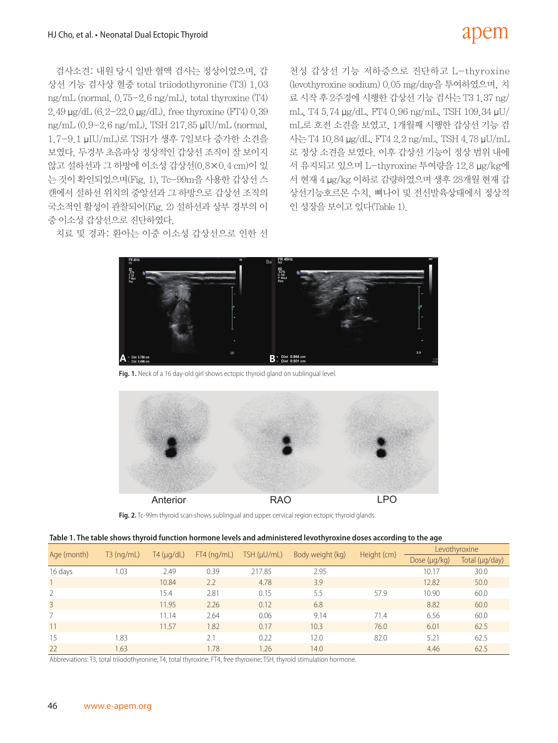# apem

검사소견: 내원 당시 일반 혈액 검사는 정상이었으며, 갑 상선 기능 검사상 혈중 total triiodothyronine (T3) 1.03 ng/mL (normal, 0.75-2.6 ng/mL), total thyroxine (T4) 2.49 μg/dL (6.2-22.0 μg/dL), free thyroxine (FT4) 0.39 ng/mL (0.9-2.6 ng/mL), TSH 217.85 μIU/mL (normal, 1.7-9.1 μIU/mL)로 TSH가 생후 7일보다 증가한 소견을 보였다. 두경부 초음파상 정상적인 갑상선 조직이 잘 보이지 않고 설하선과 그 하방에 이소성 갑상선(0.8×0.4 cm)이 있 는 것이 확인되었으며(Fig. 1), Tc-99m을 사용한 갑상선 스 캔에서 설하선 위치의 중앙선과 그 하방으로 갑상선 조직의 국소적인 활성이 관찰되어(Fig. 2) 설하선과 상부 경부의 이 중 이소성 갑상선으로 진단하였다.

치료 및 경과: 환아는 이중 이소성 갑상선으로 인한 선

천성 갑상선 기능 저하증으로 진단하고 L-thyroxine (levothyroxine sodium) 0.05 mg/day을 투여하였으며, 치 료 시작 후 2주경에 시행한 갑상선 기능 검사는 T3 1.37 ng/ mL, T4 5.74 μg/dL, FT4 0.96 ng/mL, TSH 109.34 μU/ mL로 호전 소견을 보였고, 1개월째 시행한 갑상선 기능 검 사는 T4 10.84 μg/dL, FT4 2.2 ng/mL, TSH 4.78 μU/mL 로 정상 소견을 보였다. 이후 갑상선 기능이 정상 범위 내에 서 유지되고 있으며 L-thyroxine 투여량을 12.8 μg/kg에 서 현재 4 μg/kg 이하로 감량하였으며 생후 28개월 현재 갑 상선기능호르몬 수치, 뼈나이 및 전신발육상태에서 정상적 인 성장을 보이고 있다(Table 1).



Fig. 1. Neck of a 16 day-old girl shows ectopic thyroid gland on sublingual level.



**Fig. 2.** Tc-99m thyroid scan shows sublingual and upper cervical region ectopic thyroid glands.

|  |  | Table 1. The table shows thyroid function hormone levels and administered levothyroxine doses according to the age |  |  |
|--|--|--------------------------------------------------------------------------------------------------------------------|--|--|
|  |  |                                                                                                                    |  |  |

| Age (month)   | $T3$ (ng/mL) | $T4 \left(\mu q/dL\right)$ | $FT4$ (ng/mL) | TSH (µU/mL) | Body weight (kg) | Height (cm) | Levothyroxine     |                |
|---------------|--------------|----------------------------|---------------|-------------|------------------|-------------|-------------------|----------------|
|               |              |                            |               |             |                  |             | Dose $(\mu q/kg)$ | Total (µg/day) |
| 16 days       | 1.03         | 2.49                       | 0.39          | 217.85      | 2.95             |             | 10.17             | 30.0           |
|               |              | 10.84                      | 2.2           | 4.78        | 3.9              |             | 12.82             | 50.0           |
| $\mathcal{L}$ |              | 15.4                       | 2.81          | 0.15        | 5.5              | 57.9        | 10.90             | 60.0           |
| 3             |              | 11.95                      | 2.26          | 0.12        | 6.8              |             | 8.82              | 60.0           |
|               |              | 11.14                      | 2.64          | 0.06        | 9.14             | 71.4        | 6.56              | 60.0           |
| 11            |              | 11.57                      | 1.82          | 0.17        | 10.3             | 76.0        | 6.01              | 62.5           |
| 15            | 1.83         |                            | 2.1           | 0.22        | 12.0             | 82.0        | 5.21              | 62.5           |
| 22            | 1.63         |                            | 1.78          | .26         | 14.0             |             | 4.46              | 62.5           |

Abbreviations: T3, total triiodothyronine; T4, total thyroxine; FT4, free thyroxine; TSH, thyroid stimulation hormone.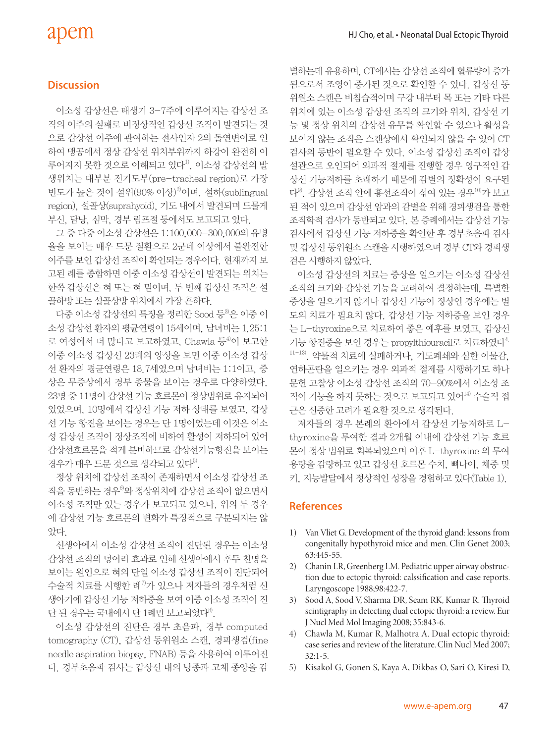# apem

### **Discussion**

이소성 갑상선은 태생기 3-7주에 이루어지는 갑상선 조 직의 이주의 실패로 비정상적인 갑상선 조직이 발견되는 것 으로 갑상선 이주에 관여하는 전사인자 2의 돌연변이로 인 하여 맹공에서 정상 갑상선 위치부위까지 하강이 완전히 이 루어지지 못한 것으로 이해되고 있다<sup>1)</sup>. 이소성 갑상선의 발 생위치는 대부분 전기도부(pre-tracheal region)로 가장 빈도가 높은 것이 설위(90% 이상)2)이며, 설하(sublingual region), 설골상(suprahyoid), 기도 내에서 발견되며 드물게 부신, 담낭, 심막, 경부 림프절 등에서도 보고되고 있다.

그 중 다중 이소성 갑상선은 1:100,000-300,000의 유병 율을 보이는 매우 드문 질환으로 2군데 이상에서 불완전한 이주를 보인 갑상선 조직이 확인되는 경우이다. 현재까지 보 고된 례를 종합하면 이중 이소성 갑상선이 발견되는 위치는 한쪽 갑상선은 혀 또는 혀 밑이며, 두 번째 갑상선 조직은 설 골하방 또는 설골상방 위치에서 가장 흔하다.

다중 이소성 갑상선의 특징을 정리한 Sood 등<sup>3</sup>은 이중 이 소성 갑상선 환자의 평균연령이 15세이며, 남녀비는 1.25:1 로 여성에서 더 많다고 보고하였고, Chawla 등<sup>4)</sup>이 보고한 이중 이소성 갑상선 23례의 양상을 보면 이중 이소성 갑상 선 환자의 평균연령은 18.7세였으며 남녀비는 1:1이고, 증 상은 무증상에서 경부 종물을 보이는 경우로 다양하였다. 23명 중 11명이 갑상선 기능 호르몬이 정상범위로 유지되어 있었으며, 10명에서 갑상선 기능 저하 상태를 보였고, 갑상 선 기능 항진을 보이는 경우는 단 1명이었는데 이것은 이소 성 갑상선 조직이 정상조직에 비하여 활성이 저하되어 있어 갑상선호르몬을 적게 분비하므로 갑상선기능항진을 보이는 경우가 매우 드문 것으로 생각되고 있다<sup>5)</sup>.

정상 위치에 갑상선 조직이 존재하면서 이소성 갑상선 조 직을 동반하는 경우<sup>6)</sup>와 정상위치에 갑상선 조직이 없으면서 이소성 조직만 있는 경우가 보고되고 있으나, 위의 두 경우 에 갑상선 기능 호르몬의 변화가 특징적으로 구분되지는 않 았다.

신생아에서 이소성 갑상선 조직이 진단된 경우는 이소성 갑상선 조직의 덩어리 효과로 인해 신생아에서 후두 천명을 보이는 원인으로 혀의 단일 이소성 갑상선 조직이 진단되어 수술적 치료를 시행한 례7)가 있으나 저자들의 경우처럼 신 생아기에 갑상선 기능 저하증을 보여 이중 이소성 조직이 진 단 된 경우는 국내에서 단 1례만 보고되었다<sup>8</sup>.

이소성 갑상선의 진단은 경부 초음파, 경부 computed tomography (CT), 갑상선 동위원소 스캔, 경피생검(fine needle aspiration biopsy, FNAB) 등을 사용하여 이루어진 다. 경부초음파 검사는 갑상선 내의 낭종과 고체 종양을 감

별하는데 유용하며, CT에서는 갑상선 조직에 혈류량이 증가 됨으로서 조영이 증가된 것으로 확인할 수 있다. 갑상선 동 위원소 스캔은 비침습적이며 구강 내부터 목 또는 기타 다른 위치에 있는 이소성 갑상선 조직의 크기와 위치, 갑상선 기 능 및 정상 위치의 갑상선 유무를 확인할 수 있으나 활성을 보이지 않는 조직은 스캔상에서 확인되지 않을 수 있어 CT 검사의 동반이 필요할 수 있다. 이소성 갑상선 조직이 갑상 설관으로 오인되어 외과적 절제를 진행할 경우 영구적인 갑 상선 기능저하를 초래하기 때문에 감별의 정확성이 요구된 다9). 갑상선 조직 안에 흉선조직이 섞여 있는 경우10)가 보고 된 적이 있으며 갑상선 암과의 감별을 위해 경피생검을 통한 조직학적 검사가 동반되고 있다. 본 증례에서는 갑상선 기능 검사에서 갑상선 기능 저하증을 확인한 후 경부초음파 검사 및 갑상선 동위원소 스캔을 시행하였으며 경부 CT와 경피생 검은 시행하지 않았다.

이소성 갑상선의 치료는 증상을 일으키는 이소성 갑상선 조직의 크기와 갑상선 기능을 고려하여 결정하는데, 특별한 증상을 일으키지 않거나 갑상선 기능이 정상인 경우에는 별 도의 치료가 필요치 않다. 갑상선 기능 저하증을 보인 경우 는 L-thyroxine으로 치료하여 좋은 예후를 보였고, 갑상선 기능 항진증을 보인 경우는 propylthiouracil로 치료하였다4, 11-13). 약물적 치료에 실패하거나, 기도폐쇄와 심한 이물감, 연하곤란을 일으키는 경우 외과적 절제를 시행하기도 하나 문헌 고찰상 이소성 갑상선 조직의 70-90%에서 이소성 조 직이 기능을 하지 못하는 것으로 보고되고 있어14) 수술적 접 근은 신중한 고려가 필요할 것으로 생각된다.

저자들의 경우 본례의 환아에서 갑상선 기능저하로 Lthyroxine을 투여한 결과 2개월 이내에 갑상선 기능 호르 몬이 정상 범위로 회복되었으며 이후 L-thyroxine 의 투여 용량을 감량하고 있고 갑상선 호르몬 수치, 뼈나이, 체중 및 키, 지능발달에서 정상적인 성장을 경험하고 있다(Table 1).

# **References**

- 1) Van Vliet G. Development of the thyroid gland: lessons from congenitally hypothyroid mice and men. Clin Genet 2003; 63:445-55.
- 2) Chanin LR, Greenberg LM. Pediatric upper airway obstruction due to ectopic thyroid: calssification and case reports. Laryngoscope 1988;98:422-7.
- 3) Sood A, Sood V, Sharma DR, Seam RK, Kumar R. Thyroid scintigraphy in detecting dual ectopic thyroid: a review. Eur J Nucl Med Mol Imaging 2008; 35:843-6.
- 4) Chawla M, Kumar R, Malhotra A. Dual ectopic thyroid: case series and review of the literature. Clin Nucl Med 2007: 32:1-5.
- 5) Kisakol G, Gonen S, Kaya A, Dikbas O, Sari O, Kiresi D,